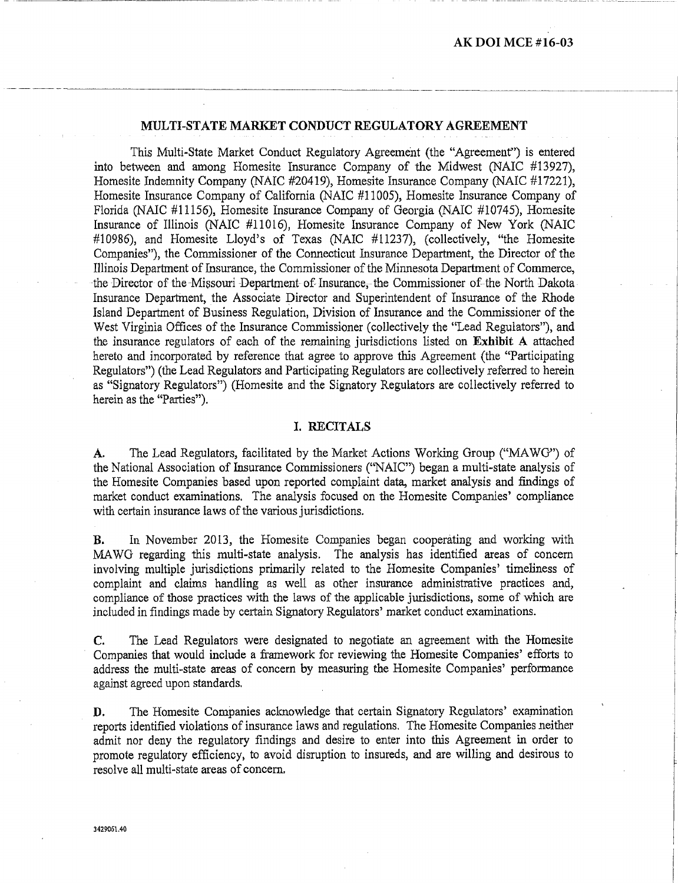#### **MULTI-STATE MARKET CONDUCT REGULATORY AGREEMENT**

This Multi-State Market Conduct Regulatory Agreement (the "Agreement") is entered into between and among Homesite Insurance Company of the Midwest (NAIC #13927), Homesite Indemnity Company (NAIC #20419), Homesite Insurance Company (NAIC #17221), Homesite Insurance Company of California (NAIC #11005), Homesite Insurance Company of Florida (NAIC #11156), Homesite Insurance Company of Georgia (NAIC #10745), Homesite Insurance of Illinois (NAIC #11016), Homesite Insurance Company of New York (NAIC #10986), and Homesite Lloyd's of Texas (NAIC #11237), (collectively, "the Homesite Companies"), the Commissioner of the Connecticut Insurance Department, the Director of the Illinois Department of Insurance, the Commissioner of the Minnesota Department of Commerce, the Director of the Missouri Department of Insurance, the Commissioner of the North Dakota Insurance Department, the Associate Director and Superintendent of Insurance of the Rhode Island Department of Business Regulation, Division of Insurance and the Commissioner of the West Virginia Offices of the Insurance Commissioner (collectively the "Lead Regulators"), and the insurance regulators of each of the remaining jurisdictions listed on **Exhibit A** attached hereto and incorporated by reference that agree to approve this Agreement (the "Participating Regulators") (the Lead Regulators and Participating Regulators are collectively referred to herein as "Signatory Regulators") (Homesite and the Signatory Regulators are collectively referred to herein as the "Parties").

#### **I. RECITALS**

**A.** The Lead Regulators, facilitated by the Market Actions Working Group ("MAWG") of the National Association of Insurance Commissioners ("NAIC") began a multi-state analysis of the Homesite Companies based upon reported complaint data, market analysis and findings of market conduct examinations. The analysis focused on the Homesite Companies' compliance with certain insurance laws of the various jurisdictions.

**B.** In November 2013, the Homesite Companies began cooperating and working with MA WG regarding this multi-state analysis. The analysis has identified areas of concern involving multiple jurisdictions primarily related to the Homesite Companies' timeliness of complaint and claims handling as well as other insurance administrative practices and, compliance of those practices with the laws of the applicable jurisdictions, some of which are jncluded in findings made by certain Signatory Regulators' market conduct examinations.

**C.** The Lead Regulators were designated to negotiate an agreement with the Homesite Companies that would include a framework for reviewing the Homesite Companies' efforts to address the multi-state areas of concern by measuring the Homesite Companies' performance against agreed upon standards.

**D.** The Homesite Companies acknowledge that certain Signatory Regulators' examination reports identified violations of insurance laws and regulations. The Homesite Companies neither admit nor deny the regulatory findings and desire to enter into this Agreement in order to promote regulatory efficiency, to avoid disruption to insureds, and are willing and desirous to resolve all multi-state areas of concern.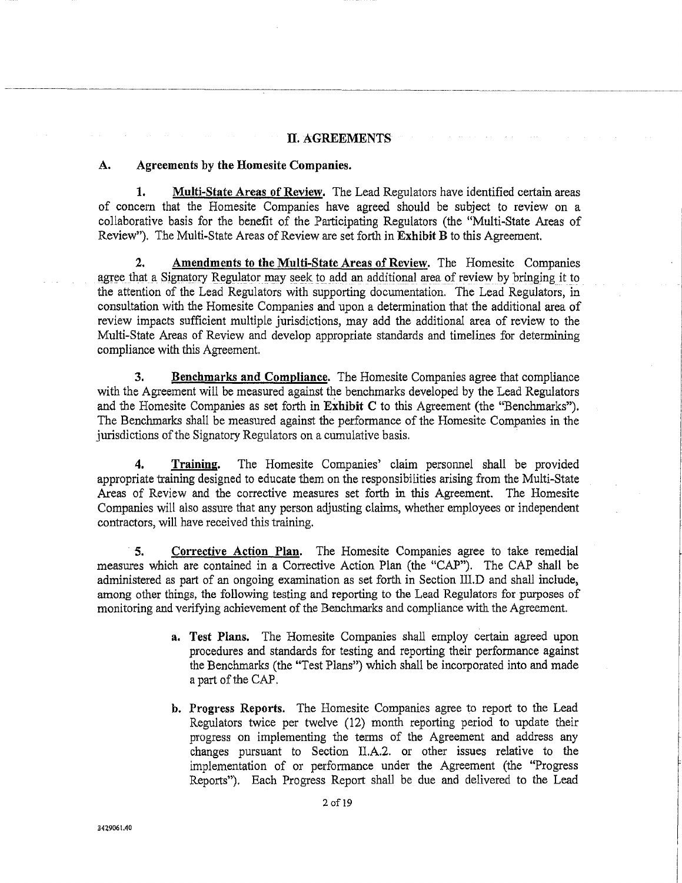#### II. AGREEMENTS

#### A. Agreements by the Homesite Companies.

1. Multi-State Areas of Review. The Lead Regulators have identified certain areas of concern that the Homesite Companies have agreed should be subject to review on a collaborative basis for the benefit of the Participating Regulators (the "Multi-State Areas of Review"). The Multi-State Areas of Review are set forth in Exhibit B to this Agreement.

2. Amendments to the Multi-State Areas of Review. The Homesite Companies agree that a Signatory Regulator may seek to add an additional area of review by bringing it to the attention of the Lead Regulators with supporting documentation. The Lead Regulators, in consultation with the Homesite Companies and upon a determination that the additional area of review impacts sufficient multiple jurisdictions, may add the additional area of review to the Multi-State Areas of Review and develop appropriate standards and timelines for determining compliance with this Agreement.

3. Benchmarks and Compliance. The Homesite Companies agree that compliance with the Agreement will be measured against the benchmarks developed by the Lead Regulators and the Homesite Companies as set forth in Exhibit C to this Agreement (the "Benchmarks"). The Benchmarks shall be measured against the performance of the Homesite Companies in the jurisdictions of the Signatory Regulators on a cumulative basis.

4. Training. The Homesite Companies' claim personnel shall be provided appropriate training designed to educate them on the responsibilities arising from the Multi-State Areas of Review and the corrective measures set forth in this Agreement. The Homesite Companies will also assure that any person adjusting claims, whether employees or independent contractors, will have received this training.

5. Corrective Action Plan. The Homesite Companies agree to take remedial measures which are contained in a Corrective Action Plan (the "CAP"). The CAP shall be administered as part of an ongoing examination as set forth in Section III.D and shall include, among other things, the following testing and reporting to the Lead Regulators for purposes of monitoring and verifying achievement of the Benchmarks and compliance with the Agreement.

- a. Test Plans. The Homesite Companies shall employ certain agreed upon procedures and standards for testing and reporting their performance against the Benchmarks (the "Test Plans") which shall be incorporated into and made a part of the CAP.
- b. Progress Reports. The Homesite Companies agree to report to the Lead Regulators twice per twelve (12) month reporting period to update their progress on implementing the terms of the Agreement and address any changes pursuant to Section II.A.2. or other issues relative to the implementation of or performance under the Agreement (the "Progress" Reports"). Each Progress Report shall be due and delivered to the Lead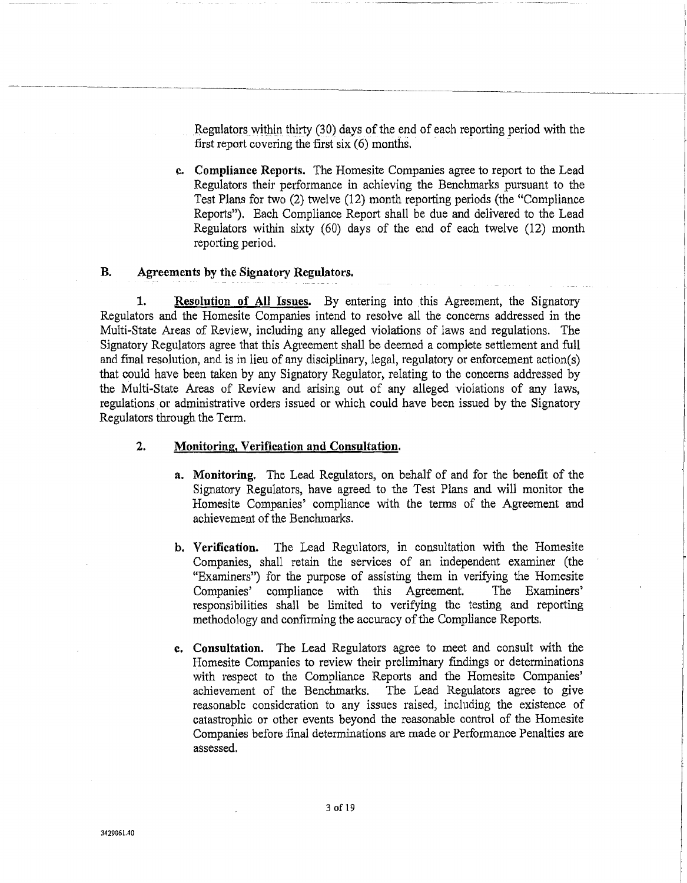Regulators within thirty (30) days of the end of each reporting period with the first report covering the first six  $(6)$  months.

c. Compliance Reports. The Homesite Companies agree to report to the Lead Regulators their performance in achieving the Benchmarks pursuant to the Test Plans for two (2) twelve (12) month reporting periods (the "Compliance" Reports"). Each Compliance Report shall be due and delivered to the Lead Regulators within sixty (60) days of the end of each twelve (12) month reporting period.

#### B. Agreements by the Signatory Regulators.

1. Resolution of All Issues. By entering into this Agreement, the Signatory Regulators and the Homesite Companies intend to resolve all the concerns addressed in the Multi-State Areas of Review, including any alleged violations of laws and regulations. The Signatory Regulators agree that this Agreement shall be deemed a complete settlement and full and final resolution, and is in lieu of any disciplinary, legal, regulatory or enforcement action(s) that could have been taken by any Signatory Regulator, relating to the concerns addressed by the Multi-State Areas of Review and arising out of any alleged violations of any laws, regulations or administrative orders issued or which could have been issued by the Signatory Regulators through the Term.

#### 2. Monitoring, Verification and Consultation.

- a. Monitoring. The Lead Regulators, on behalf of and for the benefit of the Signatory Regulators, have agreed to the Test Plans and will monitor the Homesite Companies' compliance with the terms of the Agreement and achievement of the Benchmarks.
- b. Verification. The Lead Regulators, in consultation with the Homesite Companies, shall retain the services of an independent examiner (the "Examiners") for the purpose of assisting them in verifying the Homesite Companies' compliance with this Agreement. The Examiners' responsibilities shall be limited to verifying the testing and reporting methodology and confirming the accuracy of the Compliance Reports.
- c. Consultation. The Lead Regulators agree to meet and consult with the Homesite Companies to review their preliminary findings or determinations with respect to the Compliance Reports and the Homesite Companies' achievement of the Benchmarks. The Lead Regulators agree to give reasonable consideration to any issues raised, including the existence of catastrophic or other events beyond the reasonable control of the Homesite Companies before final determinations are made or Performance Penalties are assessed.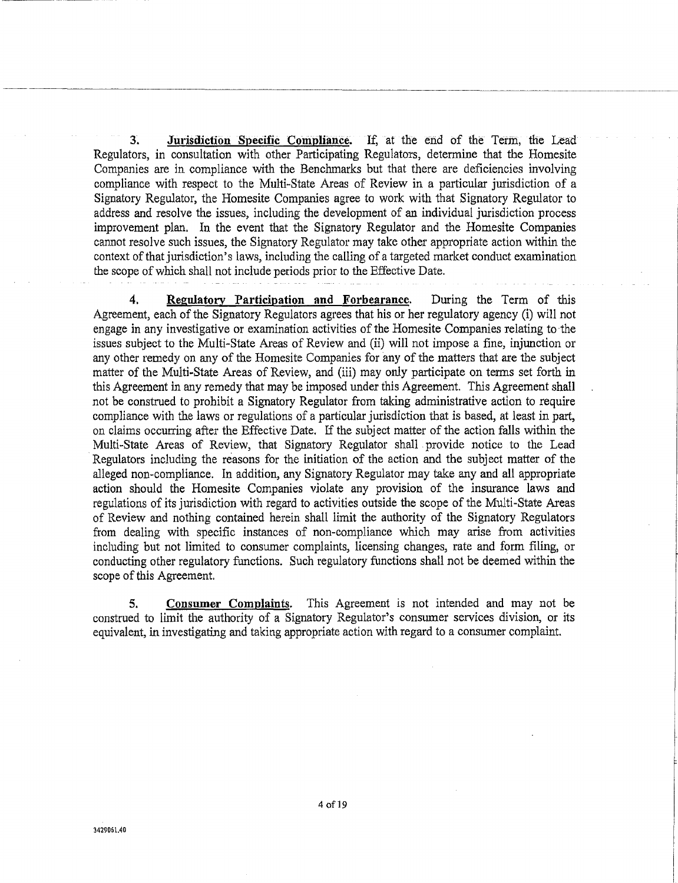**3. Jurisdictfon Specific Compliance.** If, at the end of the Term, the Lead Regulators, in consultation with other Participating Regulators, determine that the Homesite Companies are in compliance with the Benchmarks but that there are deficiencies involving compliance with respect to the Multi-State Areas of Review in a particular jurisdiction of a Signatory Regulator, the Homesite Companies agree to work with that Signatory Regulator to address and resolve the issues, including the development of an individual jurisdiction process improvement plan. In the event that the Signatory Regulator and the Homesite Companies cannot resolve such issues, the Signatory Regulator may take other appropriate action within the context of that jurisdiction's laws, including the calling of a targeted market conduct examination the scope of which shall not include periods prior to the Effective Date.

**4. Regulatory Participation and Forbearance.** During the Term of this Agreement, each of the Signatory Regulators agrees that his or her regulatory agency (i) will not engage in any investigative or examination activities of the Homesite Companies relating to the issues subject to the Multi-State Areas of Review and (ii) will not impose a fine, injunction or any other remedy on any of the Homesite Companies for any of the matters that are the subject matter of the Multi-State Areas of Review, and (iii) may only participate on terms set forth in this Agreement in any remedy that may be imposed under this Agreement. This Agreement shall not be construed to prohibit a Signatory Regulator from taking administrative action to require compliance with the laws or regulations of a particular jurisdiction that is based, at least in part, on claims occurring after the Effective Date. If the subject matter of the action falls within the Multi-State Areas of Review, that Signatory Regulator shall. provide notice to the Lead Regulators including the reasons for the initiation of the action and the subject matter of the alleged non-compliance. In addition, any Signatory Regulator may take any and all appropriate action should the Homesite Companies violate any provision of the insurance laws and regulations of its jurisdiction with regard to activities outside the scope of the Multi-State Areas of Review and nothing contained herein shall limit the authority of the Signatory Regulators from dealing with specific instances of non-compliance which may arise from activities including but not limited to consumer complaints, licensing changes, rate and form filing, or conducting other regulatory functions. Such regulatory functions shall not be deemed within the scope of this Agreement.

**5. Consumer Complaints.** This Agreement is not intended and may not be construed to limit the authority of a Signatory Regulator's consumer services division, or its equivalent, in investigating and taking appropriate action with regard to a consumer complaint.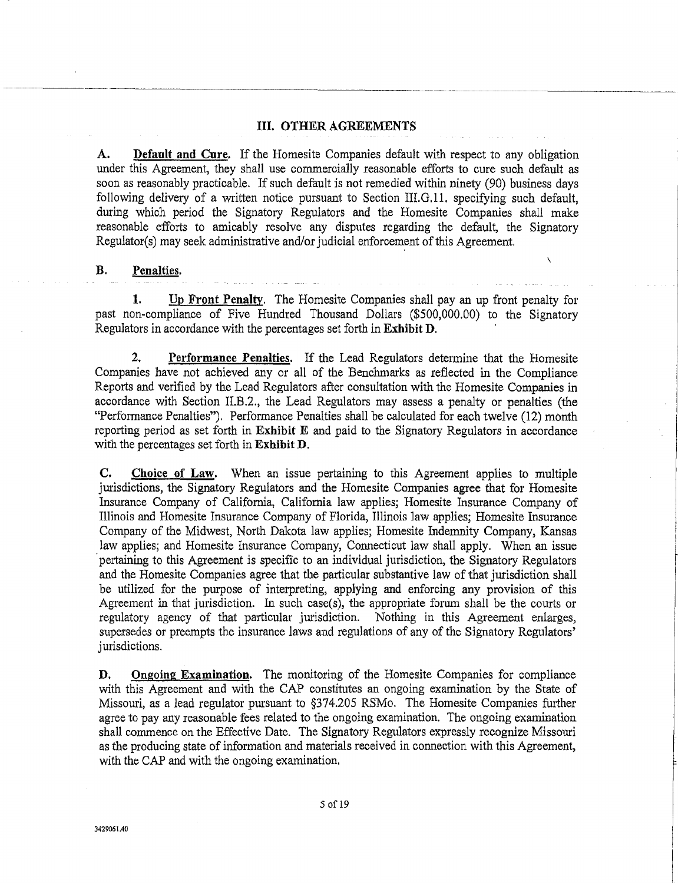#### **III. OTHER AGREEMENTS**

**A. Default and Cure.** If the Homesite Companies default with respect to any obligation under this Agreement, they shall use commercially reasonable efforts to cure such default as soon as reasonably practicable. If such default is not remedied within ninety (90) business days following delivery of a written notice pursuant to Section IH.G.11. specifying such default, during which period the Signatory Regulators and the Homesite Companies shall make reasonable efforts to amicably resolve any disputes regarding the default, the Signatory  $Regulator(s)$  may seek administrative and/or judicial enforcement of this Agreement.

#### **B. Penalties.**

**1. Up Front Penaltv.** The Homesite Companies shall pay an up front penalty for past non-compliance of Five Hundred Thousand Dollars (\$500,000.00) to the Signatory Regulators in accordance with the percentages set forth in **Exhibit D.** 

**2. Performance Penalties.** If the Lead Regulators determine that the Homesite Companies have not achieved any or all of the Benchmarks as reflected in the Compliance Reports and verified by the Lead Regulators after consultation with the Homesite Companies in accordance with Section ILB.2., the Lead Regulators may assess a penalty or penalties (the "Performance Penalties"). Performance Penalties shall be calculated for each twelve (12) month reporting period as set forth in **Exhibit** E and paid to the Signatory Regulators in accordance with the percentages set forth in **Exhibit D.** 

**C. Choice of Law.** When an issue pertaining to this Agreement applies to multiple jurisdictions, the Signatory Regulators and the Homesite Companies agree that for Homesite Insurance Company of California, California law applies; Homesite Insurance Company of Illinois and Homesite Insurance Company of Florida, Illinois law applies; Homesite Insurance Company of the Midwest, North Dakota law applies; Homesite Indemnity Company, Kansas law applies; and Homesite Insurance Company, Connecticut law shall apply. When an issue pertaining to this Agreement is specific to an individual jurisdiction, the Signatory Regulators and the Homesite Companies agree that the particular substantive law of that jurisdiction shall be utilized for the purpose of interpreting, applying and enforcing any provision of this Agreement in that jurisdiction. In such case(s), the appropriate forum shall be the courts or regulatory agency of that particular jurisdiction. Nothing in this Agreement enlarges, supersedes or preempts the insurance laws and regulations of any of the Signatory Regulators' jurisdictions.

**D. Ongoing Examination.** The monitoring of the Homesite Companies for compliance with this Agreement and with the CAP constitutes an ongoing examination by the State of Missouri, as a lead regulator pursuant to §374.205 RSMo. The Homesite Companies further agree to pay any reasonable fees related to the ongoing examination. The ongoing examination shall commence on the Effective Date. The Signatory Regulators expressly recognize Missouri as the producing state of information and materials received in connection with this Agreement, with the CAP and with the ongoing examination.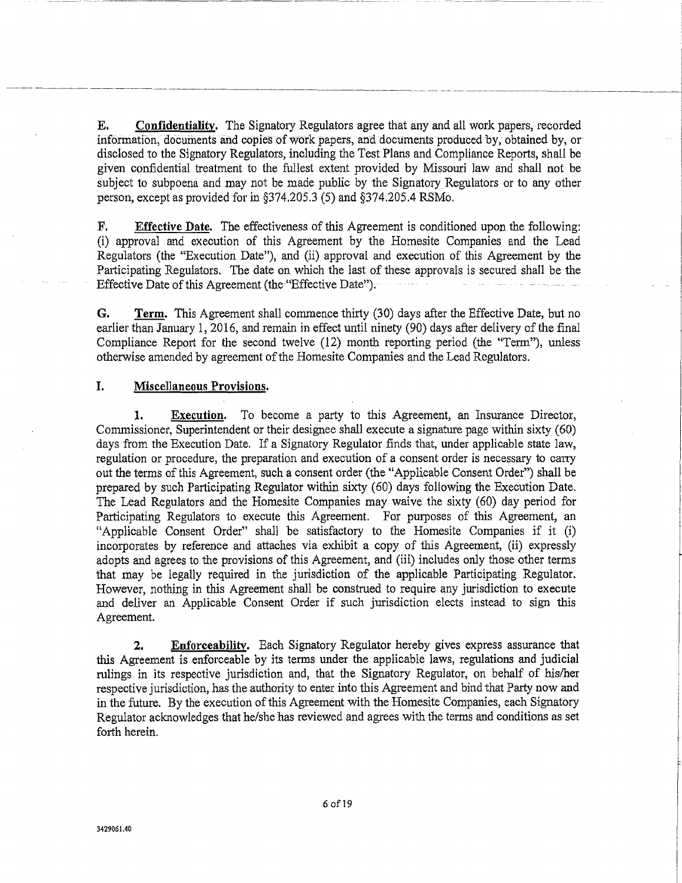**E. Confidentiality.** The Signatory Regulators agree that any and all work papers, recorded information, documents and copies of work papers, and documents produced by, obtained by, or disclosed to the Signatory Regulators, including the Test Plans and Compliance Reports, shall be given confidential treatment to the fullest extent provided by Missouri law and shall not be subject to subpoena and may not be made public by the Signatory Regulators or to any other person, except as provided for in §374.205.3 (5) and §374.205.4 RSMo.

**F. Effective Date.** The effectiveness of this Agreement is conditioned upon the following: (i) approval and execution of this Agreement by the Homesite Companies and the Lead Regulators (the "Execution Date"), and (ii) approval and execution of this Agreement by the Participating Regulators. The date on which the last of these approvals is secured shall be the Effective Date of this Agreement (the "Effective Date");

**G. Term.** This Agreement shall commence thirty (30) days after the Effective Date, but no earlier than January 1, 2016, and remain in effect until ninety (90) days after delivery of the final Compliance Report for the second twelve (12) month reporting period (the ''Term"), unless otherwise amended by agreement of the Homesite Companies and the Lead Regulators.

#### **I. Misce1Janeous Provisions.**

**1. Execution.** To become a party to this Agreement, an Insurance Director, Commissioner, Superintendent or their designee shall execute a signature page within sixty (60) days from the Execution Date. If a Signatory Regulator finds that, under applicable state law, regulation or procedure, the preparation and execution of a consent order is necessary to carry out the terms of this Agreement, such a consent order (the "Applicable Consent Order") shall be prepared by such Participating Regulator within sixty (60) days following the Execution Date. The Lead Regulators and the Homesite Companies may waive the sixty (60) day period for Participating Regulators to execute this Agreement. For purposes of this Agreement, an "Applicable Consent Order" shaJ1 be satisfactory to the Homesite Companies if it (i) incorporates by reference and attaches via exhibit a copy of this Agreement, (ii) expressly adopts and agrees to the provisions of this Agreement, and (iii) includes only those other terms that may be legally required in the jurisdiction of the applicable Participating Regulator. However, nothing in this Agreement shall be construed to require any jurisdiction to execute and deliver an Applicable Consent Order if such jurisdiction elects instead to sign this Agreement.

**2. Enforceability.** Each Signatory Regulator hereby gives express assurance that this Agreement is enforceable by its terms under the applicable laws, regulations and judicial rulings in its respective jurisdiction and, that the Signatory Regulator, on behalf of his/her respective jurisdiction, has the authority to enter into this Agreement and bind that Party now and in the future. By the execution of this Agreement with the Homesite Companies, each Signatory Regulator acknowledges that he/she has reviewed and agrees with the terms and conditions as set forth herein.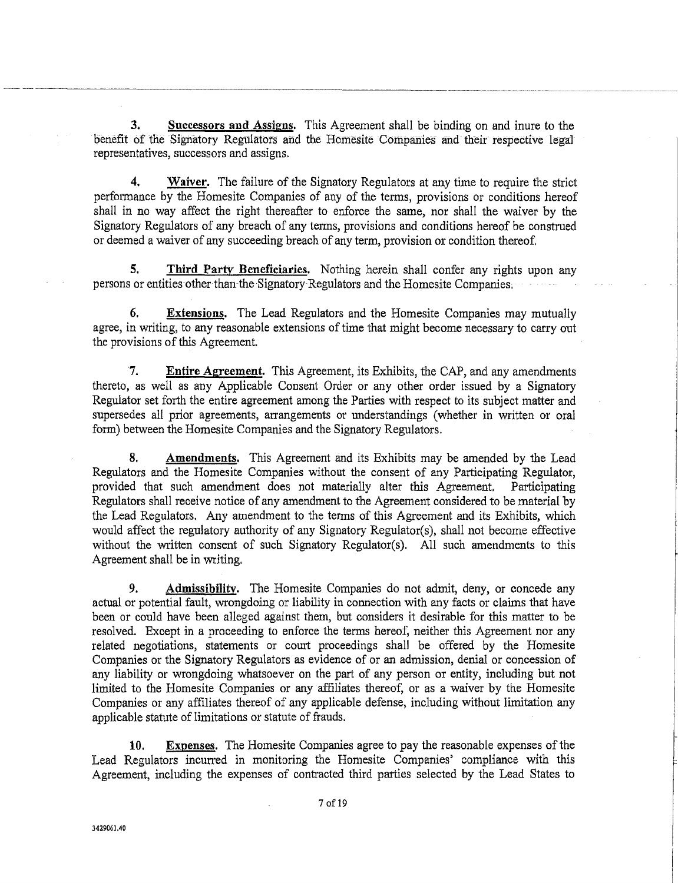3. Successors and Assigns. This Agreement shall be binding on and inure to the benefit of the Signatory Regulators and the Homesite Companies and their respective legal representatives, successors and assigns.

4. Waiver. The failure of the Signatory Regulators at any time to require the strict performance by the Homesite Companies of any of the terms, provisions or conditions hereof shall in no way affect the right thereafter to enforce the same, nor shall the waiver by the Signatory Regulators of any breach of any terms, provisions and conditions hereof be construed or deemed a waiver of any succeeding breach of any term, provision or condition thereof.

5. Third Party Beneficiaries. Nothing herein shall confer any rights upon any persons or entities other than the Signatory Regulators and the Homesite Companies;

6. Extensions. The Lead Regulators and the Homesite Companies may mutually agree, in writing, to any reasonable extensions of time that might become necessary to carry out the provisions of this Agreement.

7. Entire Agreement. This Agreement, its Exhibits, the CAP, and any amendments thereto, as well as any Applicable Consent Order or any other order issued by a Signatory Regulator set forth the entire agreement among the Parties with respect to its subject matter and supersedes all prior agreements, arrangements or understandings (whether in written or oral form) between the Homesite Companies and the Signatory Regulators.

8, Amendments. This Agreement and its Exhibits may be amended by the Lead Regulators and the Homesite Companies without the consent of any Participating Regulator, provided that such amendment does not materially alter this Agreement. Participating Regulators shall receive notice of any amendment to the Agreement considered to be material by the Lead Regulators. Any amendment to the terms of this Agreement and its Exhibits, which would affect the regulatory authority of any Signatory Regulator(s), shall not become effective without the written consent of such Signatory Regulator(s). All such amendments to this Agreement shall be in writing.

9. Admissibi1itv. The Homesite Companies do not admit, deny, or concede any actual or potential fault, wrongdoing or liability in connection with any facts or claims that have been or could have been alleged against them, but considers it desirable for this matter to be resolved. Except in a proceeding to enforce the terms hereof, neither this Agreement nor any related negotiations, statements or court proceedings shall be offered by the Homesite Companies or the Signatory Regulators as evidence of or an admission, denial or concession of any liability or wrongdoing whatsoever on the part of any person or entity, including but not limited to the Homesite Companies or any affiliates thereof, or as a waiver by the Homesite Companies or any affiliates thereof of any applicable defense, including without limitation any applicable statute of limitations or statute of frauds.

10. Expenses. The Homesite Companies agree to pay the reasonable expenses of the Lead Regulators incurred in monitoring the Homesite Companies' compliance with this Agreement, including the expenses of contracted third parties selected by the Lead States to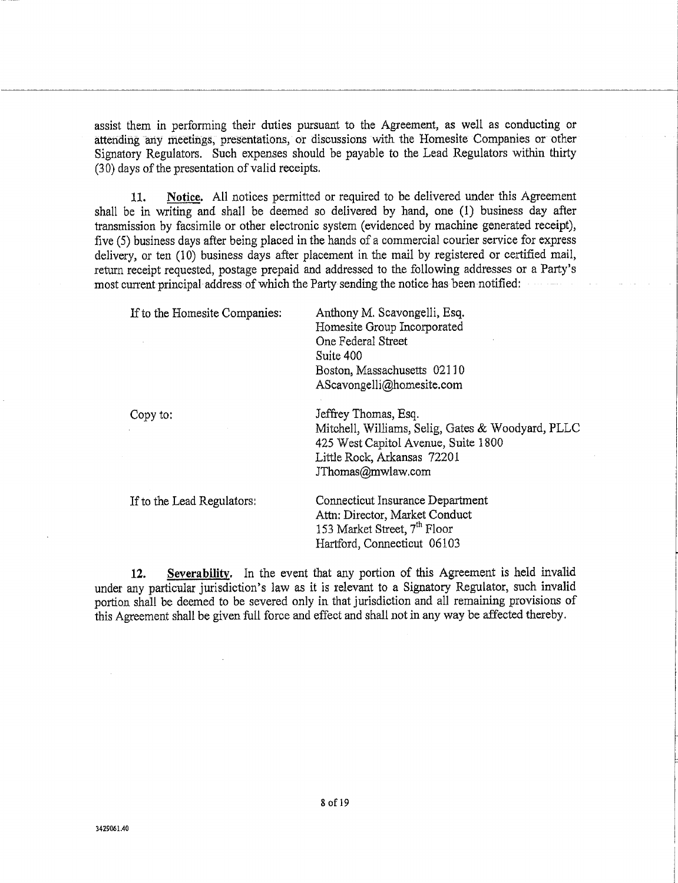assist them in performing their duties pursuant to the Agreement, as well as conducting or attending any meetings, presentations, or discussions with the Homesite Companies or other Signatory Regulators. Such expenses should be payable to the Lead Regulators within thirty (3 0) days of the presentation of valid receipts.

**11. Notice.** All notices permitted or required to be delivered under this Agreement shall be in writing and shall be deemed so delivered by hand, one (1) business day after transmission by facsimile or other electronic system (evidenced by machine generated receipt), five (5) business days after being placed in the hands of a commercial courier service for express delivery, or ten (10) business days after placement in the mail by registered or certified mail, return receipt requested, postage prepaid and addressed to the following addresses or a Party's most current principal address of which the Party sending the notice has been notified:

If to the Homesite Companies:

If to the Lead Regulators:

Anthony M. Scavongelli, Esq. Homesite Group Incorporated One Federal Street Suite 400 Boston, Massachusetts 02110 AScavongelli@homesite.com

Copy to:

Jeffrey Thomas, Esq. Mitchell, Williams, Selig, Gates & Woodyard, PLLC 425 West Capitol Avenue, Suite 1800 Little Rock, Arkansas 72201 JThomas@mwlaw.com

Connecticut Insurance Department Attn: Director, Market Conduct 153 Market Street, 7'h Floor Hartford, Connecticut 06103

**12.** Severability. In the event that any portion of this Agreement is held invalid under any particular jurisdiction's law as it is relevant to a Signatory Regulator, such invalid portion shall be deemed to be severed only in that jurisdiction and all remaining provisions of this Agreement shall be given full force and effect and shall not in any way be affected thereby.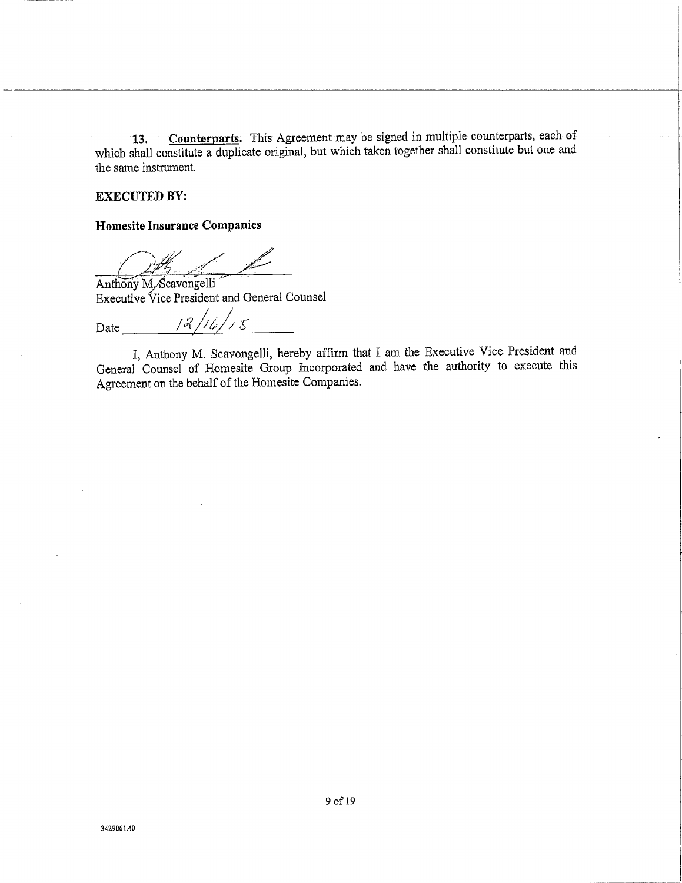13. **Counterparts.** This Agreement may be signed in multiple counterparts, each of which shall constitute a duplicate original, but which taken together shall constitute but one and the same instrument.

#### **EXECUTED BY:**

#### **Homesite Insurance Companies**

Anthony M<sub>/</sub> Scavongelli Executive Vice President and General Counsel

Date  $\frac{12}{16}$ , 5

I, Anthony M. Scavongelli, hereby affirm that I am the Executive Vice President and General Counsel of Homesite Group Incorporated and have the authority to execute this Agreement on the behalf of the Homesite Companies.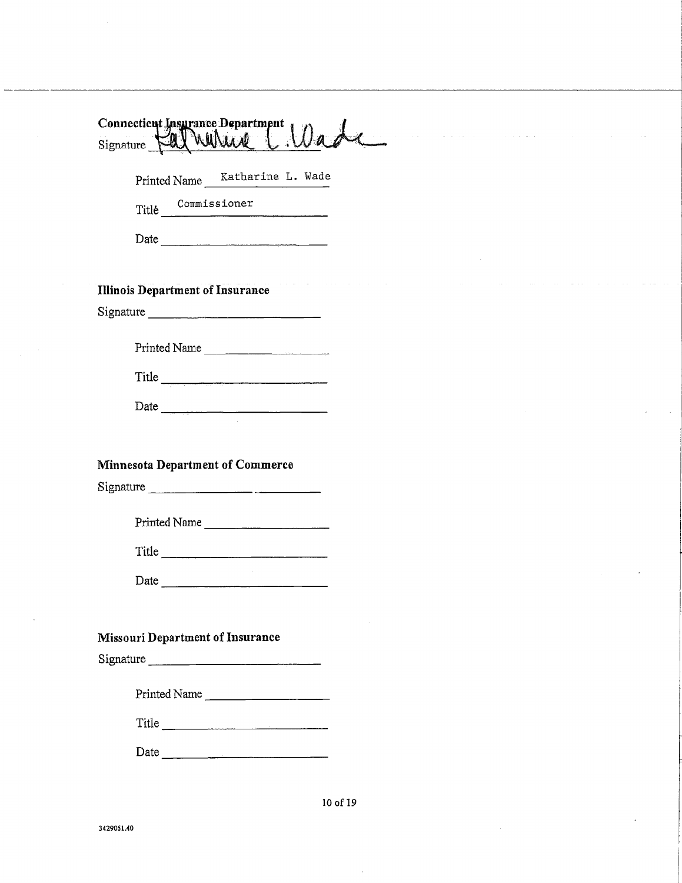|                                         | Title Commissioner                                                                                                                                                                                                                                                                                                                                                                                          |  |                                                                                                                                                                                                                                |  |
|-----------------------------------------|-------------------------------------------------------------------------------------------------------------------------------------------------------------------------------------------------------------------------------------------------------------------------------------------------------------------------------------------------------------------------------------------------------------|--|--------------------------------------------------------------------------------------------------------------------------------------------------------------------------------------------------------------------------------|--|
|                                         | Date $\qquad \qquad$ $\qquad \qquad$ $\qquad$ $\qquad$ $\qquad$ $\qquad$ $\qquad$ $\qquad$ $\qquad$ $\qquad$ $\qquad$ $\qquad$ $\qquad$ $\qquad$ $\qquad$ $\qquad$ $\qquad$ $\qquad$ $\qquad$ $\qquad$ $\qquad$ $\qquad$ $\qquad$ $\qquad$ $\qquad$ $\qquad$ $\qquad$ $\qquad$ $\qquad$ $\qquad$ $\qquad$ $\qquad$ $\qquad$ $\qquad$ $\qquad$                                                               |  |                                                                                                                                                                                                                                |  |
|                                         | <b>Illinois Department of Insurance</b>                                                                                                                                                                                                                                                                                                                                                                     |  | and the second company of the second company of the second company of the second company of the second company of the second company of the second company of the second company of the second company of the second company o |  |
|                                         | Signature                                                                                                                                                                                                                                                                                                                                                                                                   |  |                                                                                                                                                                                                                                |  |
|                                         | Printed Name                                                                                                                                                                                                                                                                                                                                                                                                |  |                                                                                                                                                                                                                                |  |
|                                         | Title                                                                                                                                                                                                                                                                                                                                                                                                       |  |                                                                                                                                                                                                                                |  |
|                                         |                                                                                                                                                                                                                                                                                                                                                                                                             |  |                                                                                                                                                                                                                                |  |
|                                         |                                                                                                                                                                                                                                                                                                                                                                                                             |  |                                                                                                                                                                                                                                |  |
|                                         |                                                                                                                                                                                                                                                                                                                                                                                                             |  |                                                                                                                                                                                                                                |  |
|                                         | Minnesota Department of Commerce                                                                                                                                                                                                                                                                                                                                                                            |  |                                                                                                                                                                                                                                |  |
|                                         | Signature $\frac{1}{\sqrt{1-\frac{1}{2}}\sqrt{1-\frac{1}{2}}\sqrt{1-\frac{1}{2}}\sqrt{1-\frac{1}{2}}\sqrt{1-\frac{1}{2}}\sqrt{1-\frac{1}{2}}\sqrt{1-\frac{1}{2}}\sqrt{1-\frac{1}{2}}\sqrt{1-\frac{1}{2}}\sqrt{1-\frac{1}{2}}\sqrt{1-\frac{1}{2}}\sqrt{1-\frac{1}{2}}\sqrt{1-\frac{1}{2}}\sqrt{1-\frac{1}{2}}\sqrt{1-\frac{1}{2}}\sqrt{1-\frac{1}{2}}\sqrt{1-\frac{1}{2}}\sqrt{1-\frac{1}{2}}\sqrt{1-\frac{$ |  |                                                                                                                                                                                                                                |  |
|                                         | Printed Name                                                                                                                                                                                                                                                                                                                                                                                                |  |                                                                                                                                                                                                                                |  |
|                                         |                                                                                                                                                                                                                                                                                                                                                                                                             |  |                                                                                                                                                                                                                                |  |
|                                         |                                                                                                                                                                                                                                                                                                                                                                                                             |  |                                                                                                                                                                                                                                |  |
|                                         |                                                                                                                                                                                                                                                                                                                                                                                                             |  |                                                                                                                                                                                                                                |  |
| <b>Missouri Department of Insurance</b> |                                                                                                                                                                                                                                                                                                                                                                                                             |  |                                                                                                                                                                                                                                |  |
|                                         | Signature                                                                                                                                                                                                                                                                                                                                                                                                   |  |                                                                                                                                                                                                                                |  |
|                                         | Printed Name                                                                                                                                                                                                                                                                                                                                                                                                |  |                                                                                                                                                                                                                                |  |
|                                         |                                                                                                                                                                                                                                                                                                                                                                                                             |  |                                                                                                                                                                                                                                |  |

l,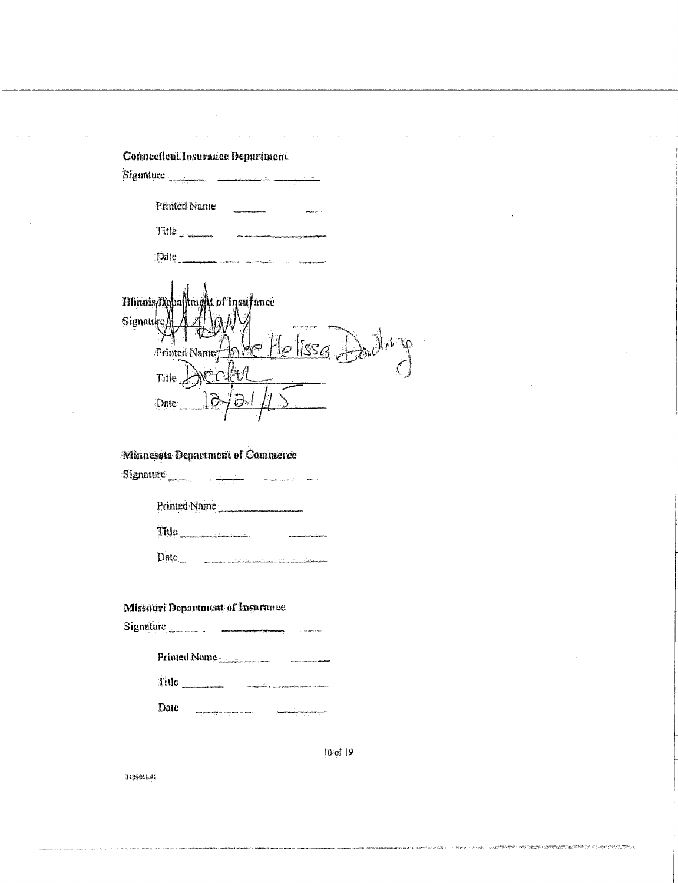|                         | Printed Name                                                                                                                                                                                                                   |               |      |  |
|-------------------------|--------------------------------------------------------------------------------------------------------------------------------------------------------------------------------------------------------------------------------|---------------|------|--|
|                         |                                                                                                                                                                                                                                |               |      |  |
|                         | Title _ _____                                                                                                                                                                                                                  |               |      |  |
|                         | Date have been a set that the set of the set of the set of the set of the set of the set of the set of the set of the set of the set of the set of the set of the set of the set of the set of the set of the set of the set o |               |      |  |
| Illinois/N<br>Signaure, | Printed Name7<br>Title.<br>Date                                                                                                                                                                                                | d of Insurmee | issa |  |

 $\label{eq:2.1} \mathcal{L}(\mathcal{L}^{\mathcal{L}}(\mathcal{L}^{\mathcal{L}}(\mathcal{L}^{\mathcal{L}}(\mathcal{L}^{\mathcal{L}}(\mathcal{L}^{\mathcal{L}}(\mathcal{L}^{\mathcal{L}}(\mathcal{L}^{\mathcal{L}}(\mathcal{L}^{\mathcal{L}}(\mathcal{L}^{\mathcal{L}}(\mathcal{L}^{\mathcal{L}}(\mathcal{L}^{\mathcal{L}}(\mathcal{L}^{\mathcal{L}}(\mathcal{L}^{\mathcal{L}}(\mathcal{L}^{\mathcal{L}}(\mathcal{L}^{\mathcal{L}}(\mathcal{L}^{\mathcal$ 

 $\sim$ 

 $\sim 10$ 

and the company of the

 $\mathcal{L}^{\text{max}}_{\text{max}}$ 

 $\hat{f}^{\dagger}$  and  $\hat{f}^{\dagger}$  are the set of the set of the set of the set of the set of  $\hat{f}$ 

 $\sim$ 

 $\hat{L}^{\rm eff}$  and  $\hat{L}^{\rm eff}$ 

| Signature |                | the company of the com- |                               |              |
|-----------|----------------|-------------------------|-------------------------------|--------------|
|           | grammerment. . |                         | <b>The request section of</b> | $2000 - 200$ |

Printed Name

Title Communication alla c

i<br>Albanis in Stilling

#### **Missouri Department of Insurance**

| Signature<br>1004 | The American Schools                 |
|-------------------|--------------------------------------|
| Printed Name      |                                      |
| Title             | anagement of an anagement management |

Date **Date**  $\overline{a}$ 

10 of 19

143964.42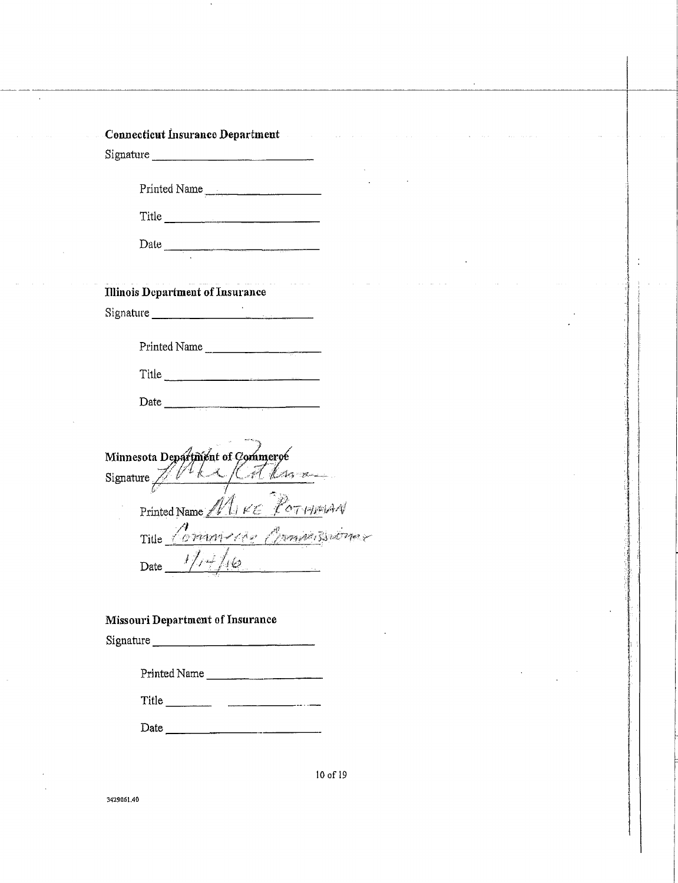| Connecticut Insurance Department and the connection of the connection of the connection of the connection of the connection of the connection of the connection of the connection of the connection of the connection of the c |  |  |
|--------------------------------------------------------------------------------------------------------------------------------------------------------------------------------------------------------------------------------|--|--|
|                                                                                                                                                                                                                                |  |  |
| Printed Name                                                                                                                                                                                                                   |  |  |
|                                                                                                                                                                                                                                |  |  |
|                                                                                                                                                                                                                                |  |  |
| and many and and a state in the state of the state<br><b>Illinois Department of Insurance</b>                                                                                                                                  |  |  |
|                                                                                                                                                                                                                                |  |  |
| Printed Name                                                                                                                                                                                                                   |  |  |
|                                                                                                                                                                                                                                |  |  |
|                                                                                                                                                                                                                                |  |  |
| Minnesota Department of Commeroe<br>Signature / Cathara<br>Printed Name $M_{\text{H}}$ $K_{\text{E}}$ $P_{\text{OT}}$ through<br>Title Comments Commissioner<br>Date $\frac{1}{1 + \frac{1}{10}}$                              |  |  |

الأنبياء المتحاد

 $\frac{1}{2}$ 

 $\ddot{\phantom{a}}$ 

#### **Missouri Department of Insurance**

Signature

 $\ddot{\phantom{a}}$ 

 $\mathcal{A}$ 

 $\sim 10^7$ 

 $\sim$ 

 $\bar{R}$ 

 $\mathcal{L}$ 

| Printed Name |  |
|--------------|--|
|              |  |

3429061.40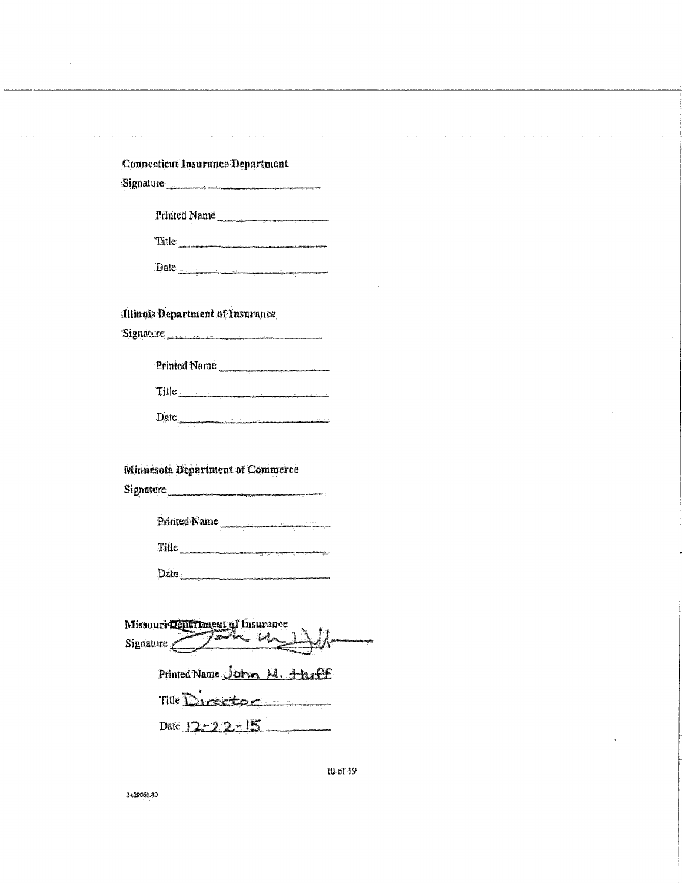| the state of the state of the state and                                          | the contract of the contract of the contract                                                                                                                                                                                                                                                                                                                                                                                                                       |  |
|----------------------------------------------------------------------------------|--------------------------------------------------------------------------------------------------------------------------------------------------------------------------------------------------------------------------------------------------------------------------------------------------------------------------------------------------------------------------------------------------------------------------------------------------------------------|--|
| Connecticut Insurance Department                                                 |                                                                                                                                                                                                                                                                                                                                                                                                                                                                    |  |
| Signature Signature Signature Communications                                     |                                                                                                                                                                                                                                                                                                                                                                                                                                                                    |  |
| Printed Name                                                                     |                                                                                                                                                                                                                                                                                                                                                                                                                                                                    |  |
| $\text{TRIC}$                                                                    |                                                                                                                                                                                                                                                                                                                                                                                                                                                                    |  |
|                                                                                  |                                                                                                                                                                                                                                                                                                                                                                                                                                                                    |  |
|                                                                                  | $\label{eq:2.1} \mathcal{L}^{\mathcal{A}}(\mathcal{A})=\mathcal{L}^{\mathcal{A}}(\mathcal{A})\otimes\mathcal{L}^{\mathcal{A}}(\mathcal{A})\otimes\mathcal{L}^{\mathcal{A}}(\mathcal{A})\otimes\mathcal{L}^{\mathcal{A}}(\mathcal{A})\otimes\mathcal{L}^{\mathcal{A}}(\mathcal{A})\otimes\mathcal{L}^{\mathcal{A}}(\mathcal{A})\otimes\mathcal{L}^{\mathcal{A}}(\mathcal{A})\otimes\mathcal{L}^{\mathcal{A}}(\mathcal{A})\otimes\mathcal{L}^{\mathcal{A}}(\mathcal$ |  |
| Illinois Department of Insurance                                                 |                                                                                                                                                                                                                                                                                                                                                                                                                                                                    |  |
| Signature Signature                                                              |                                                                                                                                                                                                                                                                                                                                                                                                                                                                    |  |
| Printed Name                                                                     |                                                                                                                                                                                                                                                                                                                                                                                                                                                                    |  |
| TIILE                                                                            |                                                                                                                                                                                                                                                                                                                                                                                                                                                                    |  |
| Date                                                                             |                                                                                                                                                                                                                                                                                                                                                                                                                                                                    |  |
| Minnesota Department of Commerce<br>Signature Signature Signature Communications |                                                                                                                                                                                                                                                                                                                                                                                                                                                                    |  |
| Printed Name                                                                     |                                                                                                                                                                                                                                                                                                                                                                                                                                                                    |  |
| Title                                                                            |                                                                                                                                                                                                                                                                                                                                                                                                                                                                    |  |
| Date                                                                             |                                                                                                                                                                                                                                                                                                                                                                                                                                                                    |  |
|                                                                                  |                                                                                                                                                                                                                                                                                                                                                                                                                                                                    |  |
| Missouri Denirment of Insurance                                                  |                                                                                                                                                                                                                                                                                                                                                                                                                                                                    |  |
| Signature 200 Main Wall                                                          |                                                                                                                                                                                                                                                                                                                                                                                                                                                                    |  |
| Printed Name John M. Huff                                                        |                                                                                                                                                                                                                                                                                                                                                                                                                                                                    |  |
| Title Director                                                                   |                                                                                                                                                                                                                                                                                                                                                                                                                                                                    |  |
| Date 12-22-15                                                                    |                                                                                                                                                                                                                                                                                                                                                                                                                                                                    |  |
|                                                                                  |                                                                                                                                                                                                                                                                                                                                                                                                                                                                    |  |

ra na si

 $\bar{z}$ 

10 of 19

3429061.40

 $\hat{\mathcal{A}}$ 

 $\label{eq:2.1} \mathcal{L}^{\mathcal{A}}(\mathbf{a}) = \mathcal{L}^{\mathcal{A}}(\mathbf{a}) = \mathcal{L}^{\mathcal{A}}(\mathbf{a}) = \mathcal{L}^{\mathcal{A}}(\mathbf{a}) = \mathcal{L}^{\mathcal{A}}(\mathbf{a})$ 

 $\hat{\mathcal{L}}$ 

 $\bar{\beta}$ 

 $\hat{\boldsymbol{\beta}}$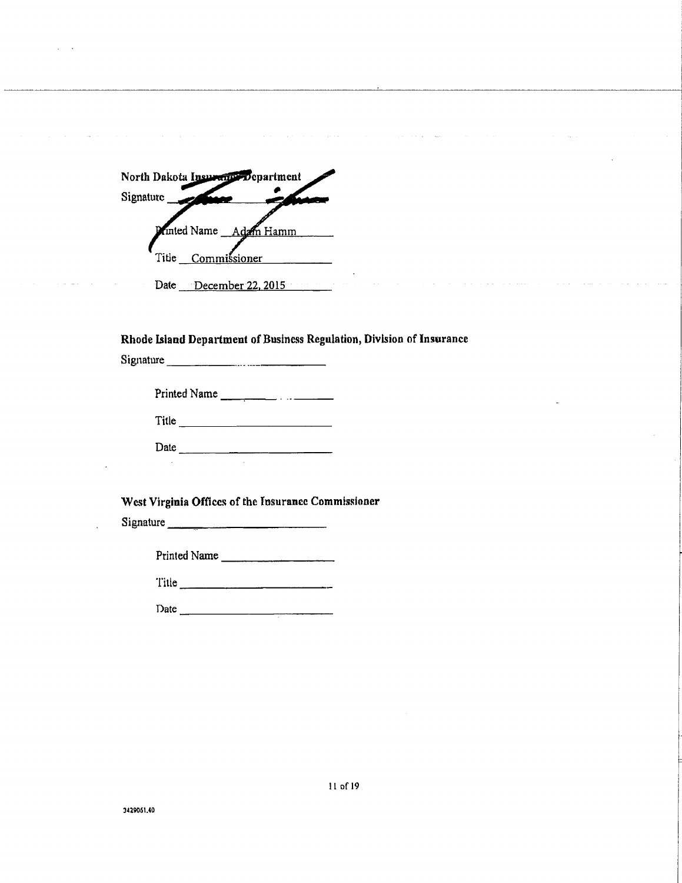North Dakota Insurance Department Signature **Printed Name** Adam Hamm Title Commissioner Date December 22, 2015

Rhode Island Department of Business Regulation, Division of Insurance

 $\sim 100$ 

سوال والأوليان

Signature

| Printed Name |  |  |  |  |
|--------------|--|--|--|--|
|--------------|--|--|--|--|

Title \_\_\_\_\_\_\_\_\_\_ \_

Date \_\_\_\_\_\_\_\_\_\_ \_

West Virginia Offices of the Insurance Commissioner

Signature \_ \_\_\_, \_\_\_\_\_\_\_\_\_ \_

Printed Name

Title

Date $\qquad \qquad$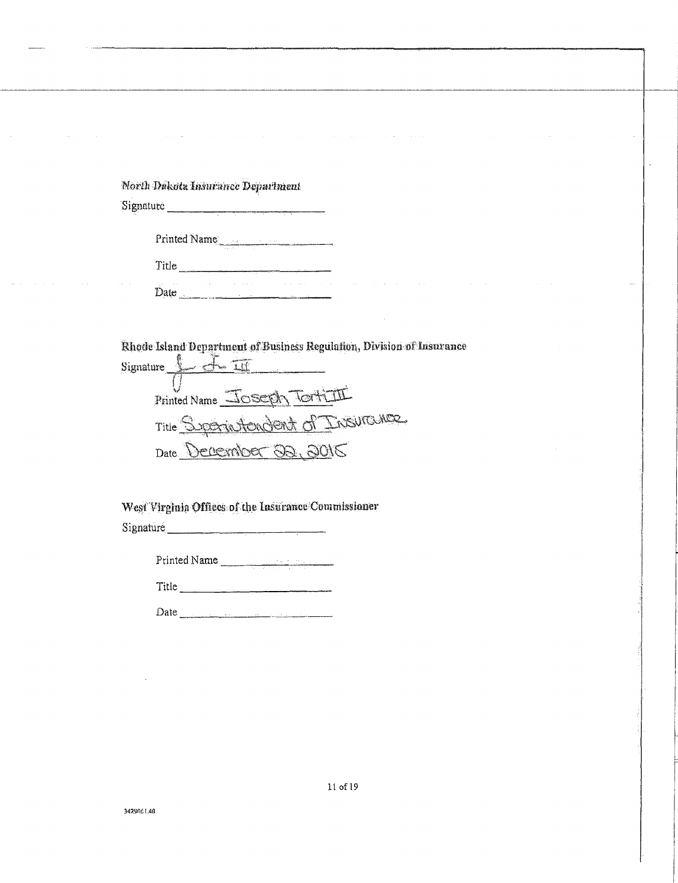North Dakota Insurance Department Signature

| Printed Name |  | a an ata |  | . |  |  |  |
|--------------|--|----------|--|---|--|--|--|
| Title        |  |          |  |   |  |  |  |
| Date         |  |          |  |   |  |  |  |

Rhode Island Department of Business Regulation, Division of Insurance Signature L A II Printed Name Joseph Torti Title Separat boudent of Insurance Date Decrember 32, 2015

West Virginia Offices of the Insurance Commissioner Signature

Printed Name

Title  $\qquad \qquad$   $\qquad$   $\qquad$   $\qquad$   $\qquad$   $\qquad$   $\qquad$   $\qquad$   $\qquad$   $\qquad$   $\qquad$   $\qquad$   $\qquad$   $\qquad$   $\qquad$   $\qquad$   $\qquad$   $\qquad$   $\qquad$   $\qquad$   $\qquad$   $\qquad$   $\qquad$   $\qquad$   $\qquad$   $\qquad$   $\qquad$   $\qquad$   $\qquad$   $\qquad$   $\qquad$   $\qquad$   $\qquad$   $\qquad$   $\qquad$   $\$ 

Date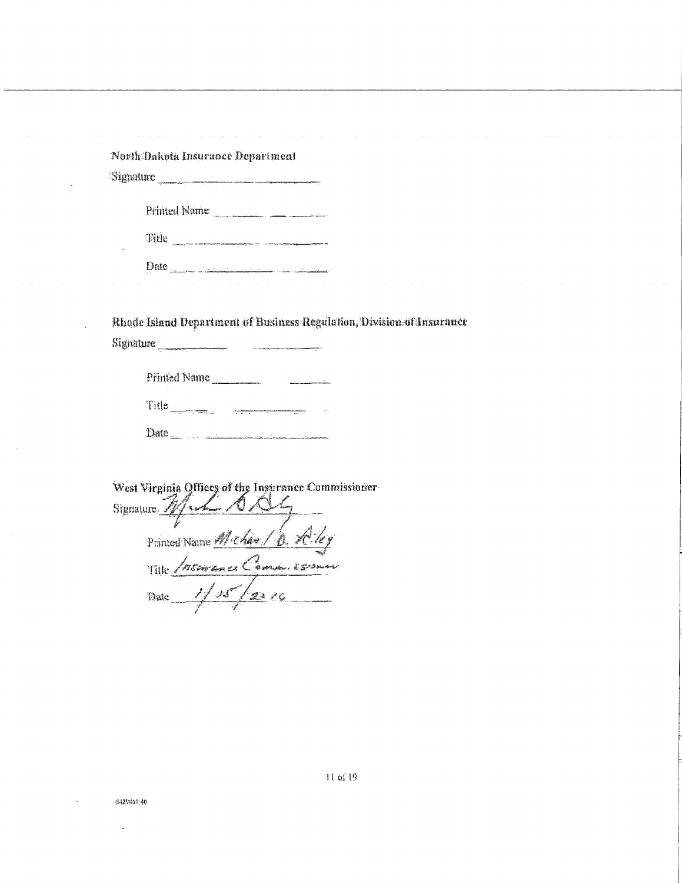| North Dakota Insurance Department |  |
|-----------------------------------|--|
| Signature                         |  |
| <b>Printed Name</b>               |  |
| Tirle                             |  |

Date \_\_\_\_

Rhode Island Department of Business Regulation, Division-of Insurance

Signature

Printed Name  $\frac{1}{2}$ 

Date

West Virginia Offices of the Insurance Commissioner Signature MacLAR Printed Name Mchar / 6. Aley Title *Insurance* Comm. Essays Date 1/15/2016

11 of 19

9429051:40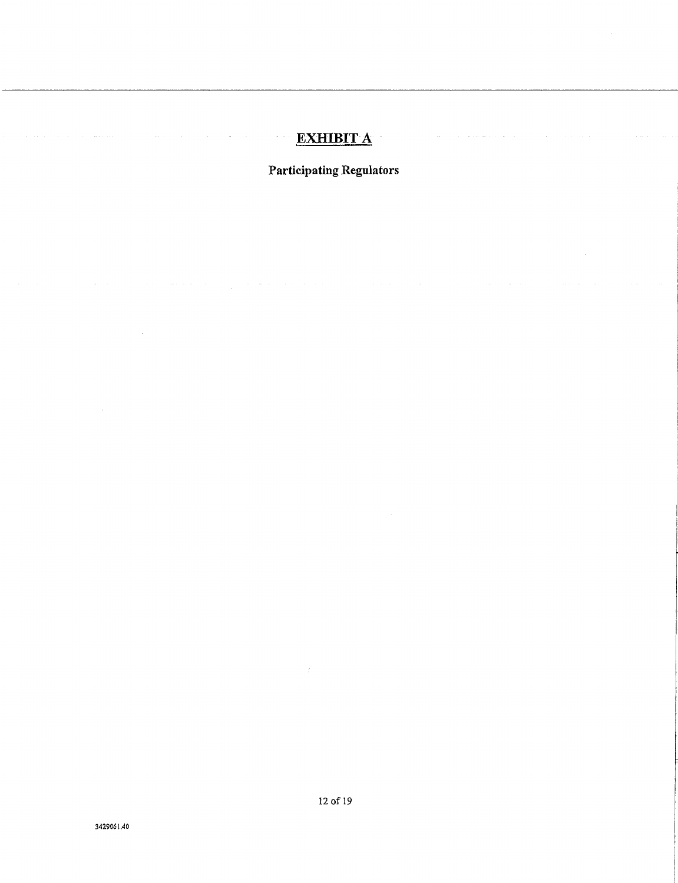# **EXHIBIT A**

 $\hat{\varphi}$  ,

 $\overline{a}$ 

 $\bar{\mathcal{L}}_{\rm{max}}$ 

 $\bar{\beta}$ 

**Participating Regulators** 

12 of 19

 $\bar{f}$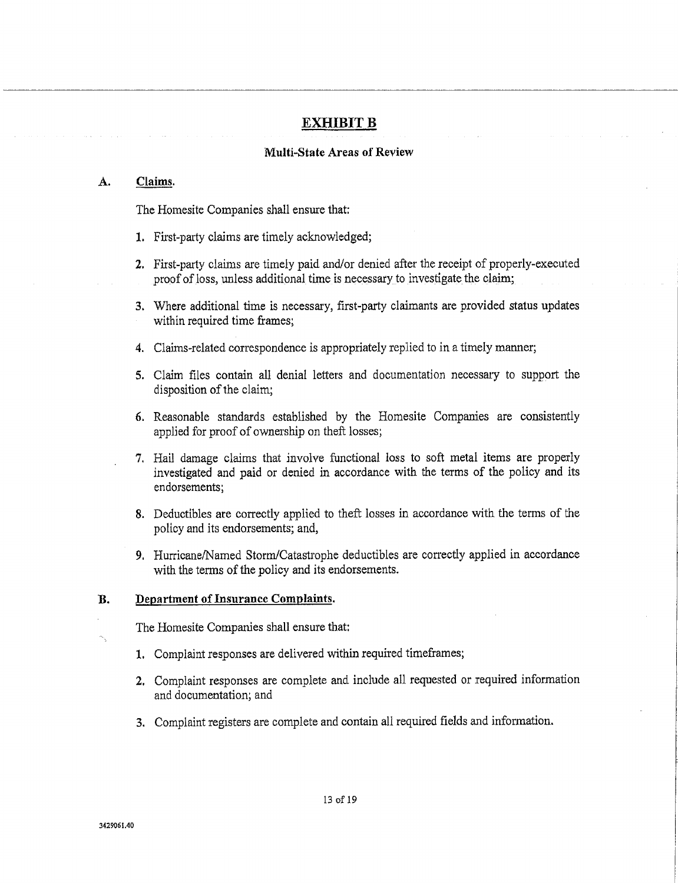# **EXHIBIT B**

#### **Multi-State Areas of Review**

# **A. Claims.**

The Homesite Companies shall ensure that:

- **1.** First-party claims are timely acknowledged;
- **2.** First-party claims are timely paid and/or denied after the receipt of properly-executed proof of loss, unless additional time is necessary to investigate the claim;
- **3.** Where additional time is necessary, first-party claimants are provided status updates within required time frames;
- **4.** Claims-related correspondence is appropriately replied to in a timely manner;
- **5.** Claim files contain all denial letters and documentation necessary to support the disposition of the claim;
- **6.** Reasonable standards established by the Homesite Companies are consistently applied for proof of ownership on theft losses;
- 7. Hail damage claims that involve functional loss to soft metal items are properly investigated and paid or denied in accordance with the terms of the policy and its endorsements;
- **8.** Deductibles are correctly applied to theft losses in accordance with the terms of the policy and its endorsements; and,
- **9.** Hurricane/Named Storm/Catastrophe deductibles are correctly applied in accordance with the terms of the policy and its endorsements.

#### **B. Department of Insurance Complaints.**

The Homesite Companies shall ensure that:

- **1.** Complaint responses are delivered within required timeframes;
- **2.** Complaint responses are complete and include all requested or required information and documentation; and
- 3. Complaint registers are complete and contain all required fields and information.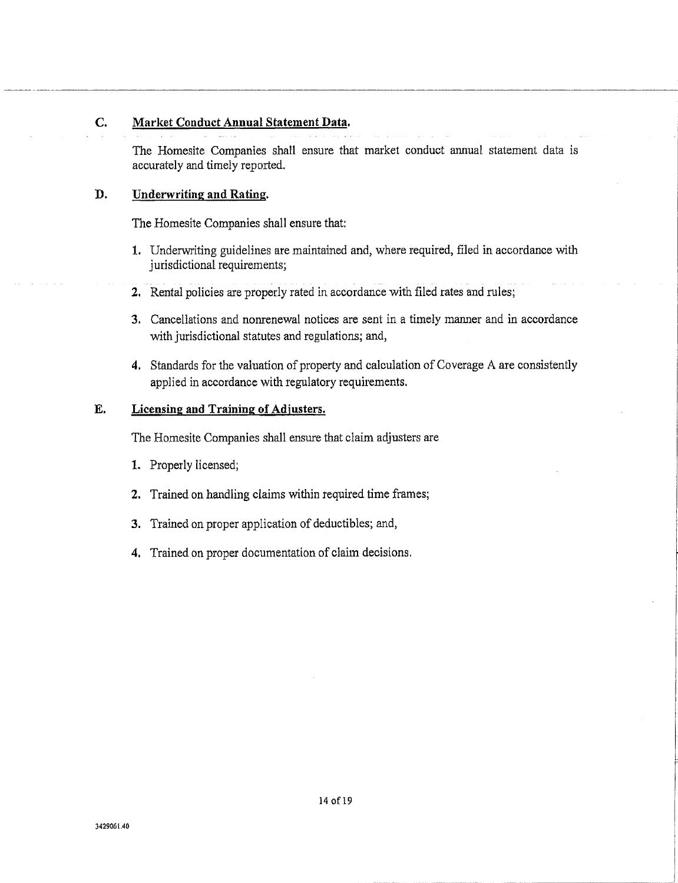#### **C. Market Conduct Annual Statement Data.**

The Homesite Companies shall ensure that market conduct annual statement data is accurately and timely reported.

### **D. Underwriting and Rating.**

The Homesite Companies shall ensure that:

- **1.** Underwriting guidelines are maintained and, where required, filed in accordance with jurisdictional requirements;
- **2.** Rental policies are properly rated in accordance with filed rates and rules;
- 3. Cancellations and nonrenewal notices are sent in a timely manner and in accordance with jurisdictional statutes and regulations; and,
- **4.** Standards for the valuation of property and calculation of Coverage A are consistently applied in accordance with regulatory requirements.

#### **E. Licensing and Training of Adjusters.**

The Homesite Companies shall ensure that claim adjusters are

- **1.** Properly licensed;
- **2.** Trained on handling claims within required time frames;
- **3.** Trained on proper application of deductibles; and,
- **4.** Trained on proper documentation of claim decisions.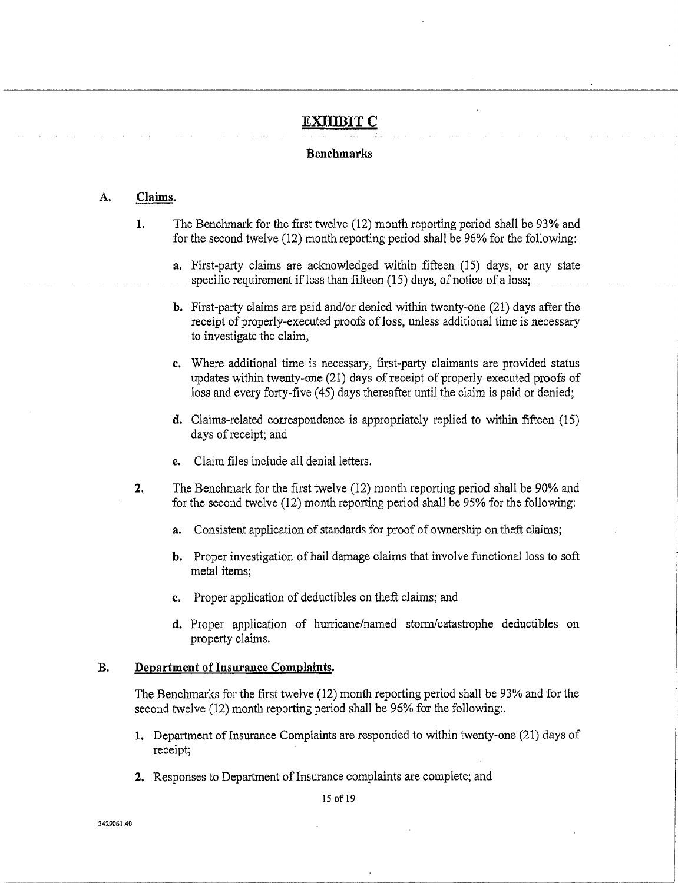# **EXHIBIT C**

#### **Benchmarks**

#### **A. Claims.**

- **1.** The Benchmark for the first twelve (12) month reporting period shall be 93% and for the second twelve (12) month reporting period shall be 96% for the following:
	- **a.** First-party claims are acknowledged within fifteen (15) days, or any state specific requirement if less than fifteen (15) days, of notice of a loss;
	- **b.** First-party claims are paid and/or denied within twenty-one (21) days after the receipt of properly-executed proofs of loss, unless additional time is necessary to investigate the claim;
	- **c.** Where additional time is necessary, first-party claimants are provided status updates within twenty-one (21) days of receipt of properly executed proofs of loss and every forty-five (45) days thereafter until the claim is paid or denied;
	- **d.** Claims-related correspondence is appropriately replied to within fifteen (15) days of receipt; and
	- **e.** Claim files include all denial letters.
- **2.** The Benchmark for the first twelve (12) month reporting period shall be 90% and for the second twelve (12) month reporting period shall be 95% for the following:
	- a. Consistent application of standards for proof of ownership on theft claims;
	- **b.** Proper investigation of hail damage claims that involve functional loss to soft metal items;
	- **c.** Proper application of deductibles on theft claims; and
	- **d.** Proper application of hurricane/named storm/catastrophe deductibles on property claims.

#### **B. Department of Insurance Complaints.**

The Benchmarks for the first twelve (12) month reporting period shall be 93% and for the second twelve (12) month reporting period shall be 96% for the following:.

- **1.** Department of Insurance Complaints are responded to within twenty-one (21) days of receipt;
- **2.** Responses to Department of Insurance complaints are complete; and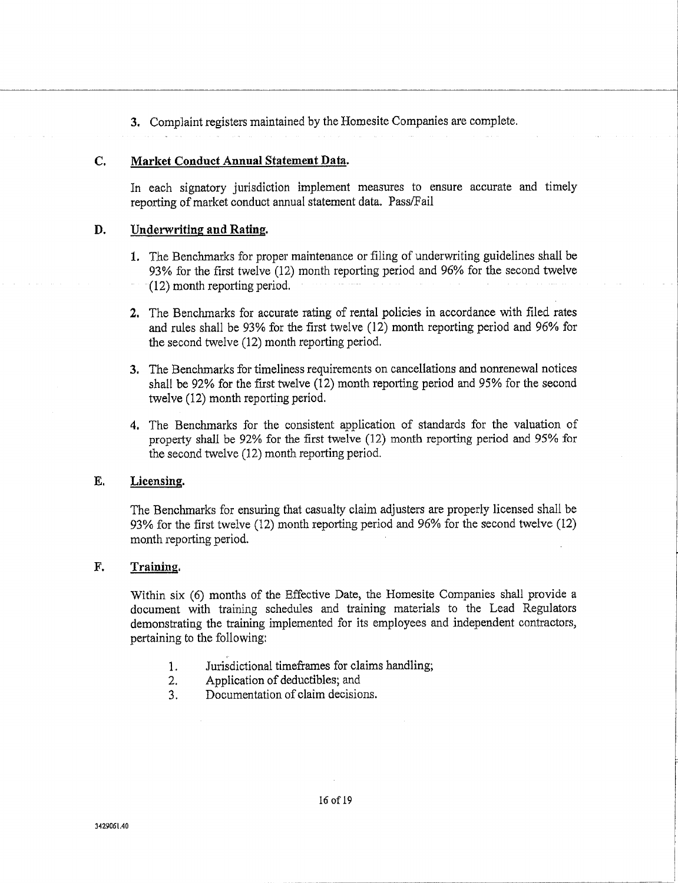**3.** Complaint registers maintained by the Homesite Companies are complete.

#### **C. Market Conduct Annual Statement Data.**

In each signatory jurisdiction implement measures to ensure accurate and timely reporting of market conduct annual statement data. Pass/Fail

#### **D. Underwriting and Rating.**

- **1.** The Benchmarks for proper maintenance or filing of underwriting guidelines shall be 93% for the first twelve (12) month reporting period and 96% for the second twelve · (12) month reporting period.
- **2.** The Benclunarks for accurate rating of rental policies in accordance with filed rates and rules shall be 93% for the first twelve (12) month reporting period and 96% for the second twelve (12) month reporting period.
- **3.** The Benchmarks for timeliness requirements on cancellations and nonrenewal notices shall be 92% for the first twelve (12) month reporting period and 95% for the second twelve (12) month reporting period.
- **4.** The Benclunarks for the consistent application of standards for the valuation of property shall be 92% for the first twelve (12) month reporting period and 95% for the second twelve (12) month reporting period.

#### **E. Licensing.**

The Benchmarks for ensuring that casualty claim adjusters are properly licensed shall be 93% for the first twelve (12) month reporting period and 96% for the second twelve (12) month reporting period.

#### **F. Training.**

Within six (6) months of the Effective Date, the Homesite Companies shall provide a document with training schedules and training materials to the Lead Regulators demonstrating the training implemented for its employees and independent contractors, pertaining to the following:

- 1. Jurisdictional timeframes for claims handling;
- 2. Application of deductibles; and
- 3. Documentation of claim decisions.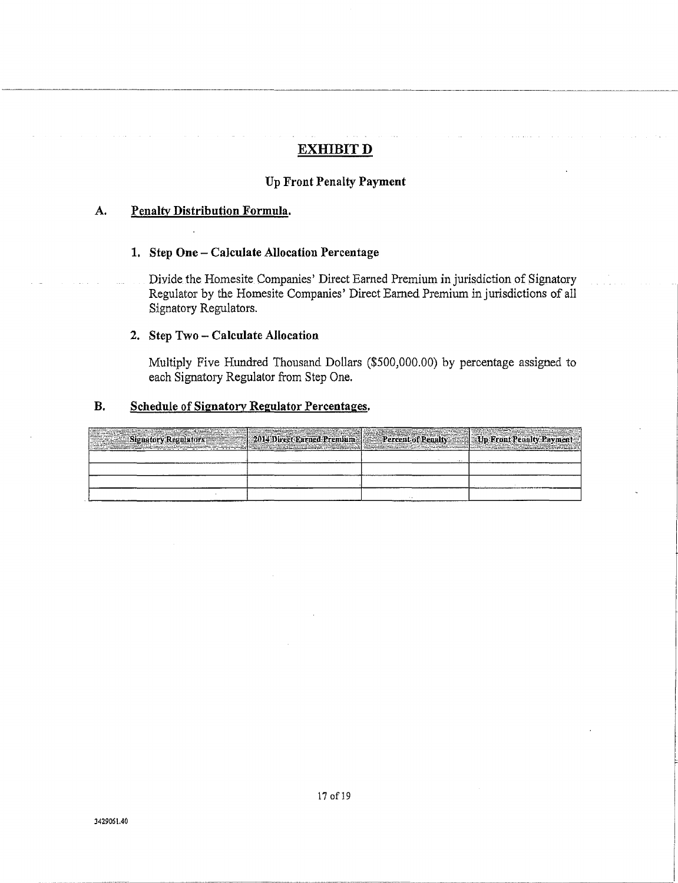# **EXHIBITD**

# **Up Front Penalty Payment**

#### **A. Penalty Distribution Formula.**

#### **1. Step One- Calculate Allocation Percentage**

Divide the Homesite Companies' Direct Earned Premium in jurisdiction of Signatory Regulator by the Homesite Companies' Direct Earned Premium in jurisdictions of all Signatory Regulators.

#### **2. Step Two - Calculate Allocation**

Multiply Five Hundred Thousand Dollars (\$500,000.00) by percentage assigned to each Signatory Regulator from Step One.

#### **B. Schedule of Signatory Regulator Percentages.**

| --------------------<br>In the control of control and the company of the company of the company of the company of the company of the company of<br>$\sim$ Characterization of the contract of the contract of the contract of the contract of the contract of the contract of the contract of the contract of the contract of the contract of the contract of the contract of the<br>Signatory Regulators 2014 Direct Earned Premium | A MARINAMENT MALE CODE A L. B. P. LL E. LL EN LA POSTA INCORPORATION CONTROL A 31 MARCU | <b>CONTRACT CONTRACTOR</b><br><b>The construction of the construction of the construction of the construction of the construction of the construction</b> | A CALIFORNIA DESCRIPTION ANNUM CALIFORNIA DE COMPANYA DE CONSUMIDADE DE CONSUMIDADE DE CONSUMIDADE DE CONSUMIDADE DE CONSUMIDADE DE CONSUMIDADE DE CONSUMIDADE DE CONSUMIDADE DE CONSUMIDADE DE CONSUMIDADE DE CONSUMIDADE DE<br>the state and the company control with the company induced with the company<br>nt of Penalty Up Front Penalty Payment<br>1 - La composición de la componentación de la componentación de la componentación de la componentación de la c |
|--------------------------------------------------------------------------------------------------------------------------------------------------------------------------------------------------------------------------------------------------------------------------------------------------------------------------------------------------------------------------------------------------------------------------------------|-----------------------------------------------------------------------------------------|-----------------------------------------------------------------------------------------------------------------------------------------------------------|--------------------------------------------------------------------------------------------------------------------------------------------------------------------------------------------------------------------------------------------------------------------------------------------------------------------------------------------------------------------------------------------------------------------------------------------------------------------------|
|                                                                                                                                                                                                                                                                                                                                                                                                                                      | $\sim$<br>10000000                                                                      | .                                                                                                                                                         | $\sim$                                                                                                                                                                                                                                                                                                                                                                                                                                                                   |
|                                                                                                                                                                                                                                                                                                                                                                                                                                      |                                                                                         | ing and all and a distribution of distribution computation                                                                                                |                                                                                                                                                                                                                                                                                                                                                                                                                                                                          |
|                                                                                                                                                                                                                                                                                                                                                                                                                                      |                                                                                         | <b>COL</b>                                                                                                                                                |                                                                                                                                                                                                                                                                                                                                                                                                                                                                          |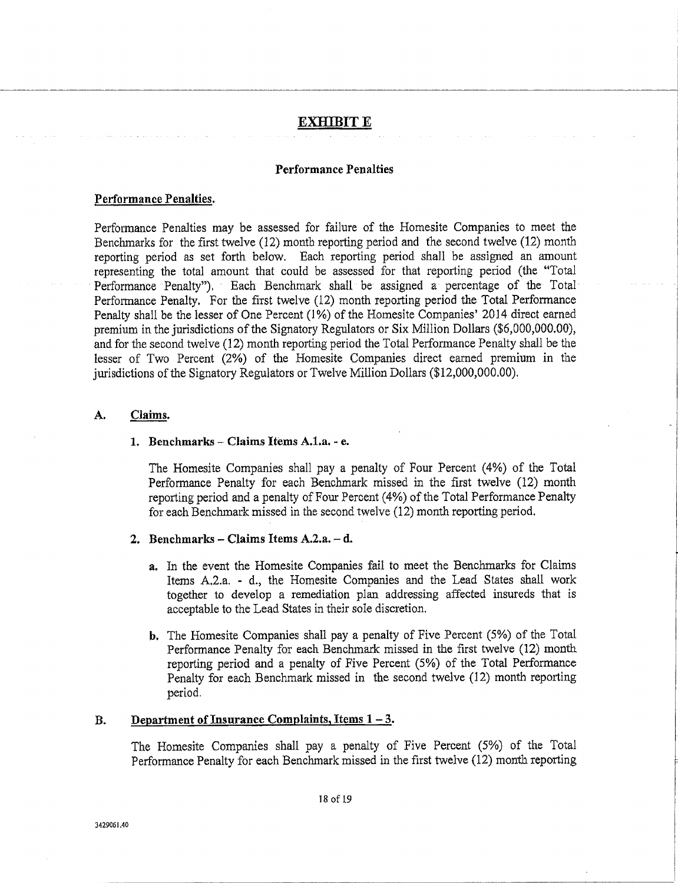#### **EXHIBIT E**

#### Performance Penalties

#### Performance Penalties.

Performance Penalties may be assessed for failure of the Homesite Companies to meet the Benchmarks for the first twelve  $(12)$  month reporting period and the second twelve  $(12)$  month reporting period as set forth below. Each reporting period shall be assigned an amount representing the total amount that could be assessed for that reporting period (the "Total Performance Penalty"), Each Benchmark shall be assigned a percentage of the Total Performance Penalty. For the first twelve (12) month reporting period the Total Performance Penalty shall be the lesser of One Percent (1%) of the Homesite Companies' 2014 direct earned premium in the jurisdictions of the Signatory Regulators or Six Million Dollars (\$6,000,000.00), and for the second twelve (12) month reporting period the Total Performance Penalty shall be the lesser of Two Percent (2%) of the Homesite Companies direct earned premium in the jurisdictions of the Signatory Regulators or Twelve Million Dollars (\$12,000,000.00).

#### A. Claims.

#### 1. Benchmarks - Claims Items A.1.a. - e.

The Homesite Companies shall pay a penalty of Four Percent (4%) of the Total Performance Penalty for each Benchmark missed in the first twelve (12) month reporting period and a penalty of Four Percent (4%) of the Total Performance Penalty for each Benchmark missed in the second twelve (12) month reporting period.

#### 2. Benchmarks - Claims Items A.2.a. - d.

- a. In the event the Homesite Companies fail to meet the Benchmarks for Claims Items A.2.a. - d., the Homesite Companies and the Lead States shall work together to develop a remediation plan addressing affected insureds that is acceptable to the Lead States in their sole discretion.
- b. The Homesite Companies shall pay a penalty of Five Percent (5%) of the Total Performance Penalty for each Benchmark missed in the first twelve (12) month reporting period and a penalty of Five Percent (5%) of the Total Performance Penalty for each Benchmark missed in the second twelve (12) month reporting period.

#### B. Department of Insurance Complaints, Items  $1 - 3$ .

The Homesite Companies shall pay a penalty of Five Percent (5%) of the Total Performance Penalty for each Benchmark missed in the first twelve (12) month reporting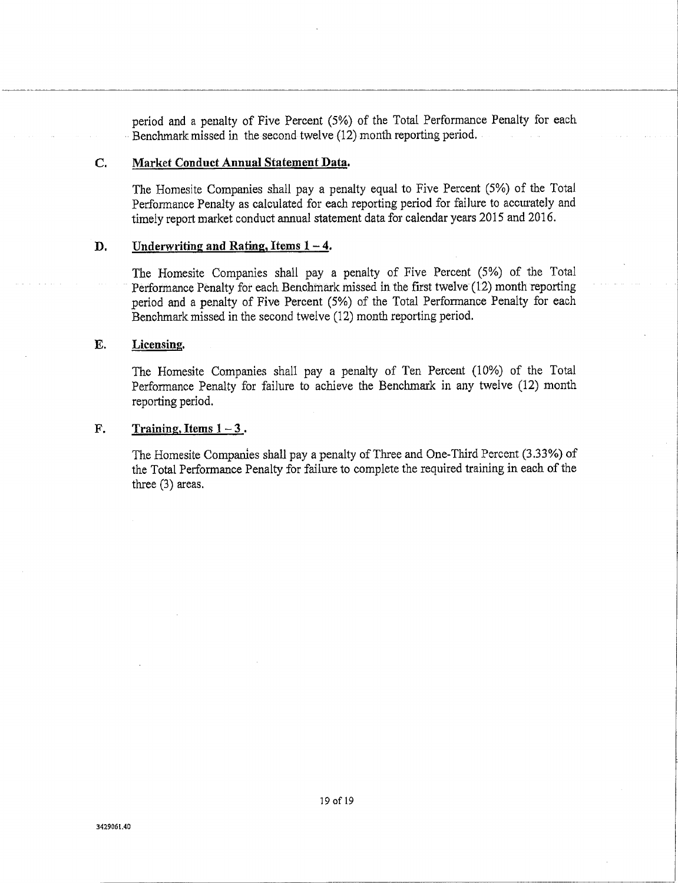period and a penalty of Five Percent (5%) of the Total Performance Penalty for each Benchmark missed in the second twelve (12) month reporting period.

#### C. Market Conduct Annual Statement Data.

The Homeslte Companies shall pay a penalty equal to Five Percent (5%) of the Total Performance Penalty as calculated for each reporting period for failure to accurately and timely report market conduct annual statement data for calendar years 2015 and 2016.

#### D. Underwriting and Rating, Items  $1 - 4$ .

The Homesite Companies shall pay a penalty of Five Percent (5%) of the Total Performance Penalty for each Benchmark missed in the first twelve (12) month reporting period and a penalty of Five Percent (5%) of the Total Performance Penalty for each Benchmark missed in the second twelve (12) month reporting period.

#### E. Licensing.

The Homesite Companies shall pay a penalty of Ten Percent (10%) of the Total Performance Penalty for failure to achieve the Benchmark in any twelve (12) month reporting period.

#### F. Training, Items  $1 - 3$ .

The Homesite Companies shall pay a penalty of Three and One-Third Percent (3.33%) of the Total Performance Penalty for failure to complete the required training in each of the three (3) areas.